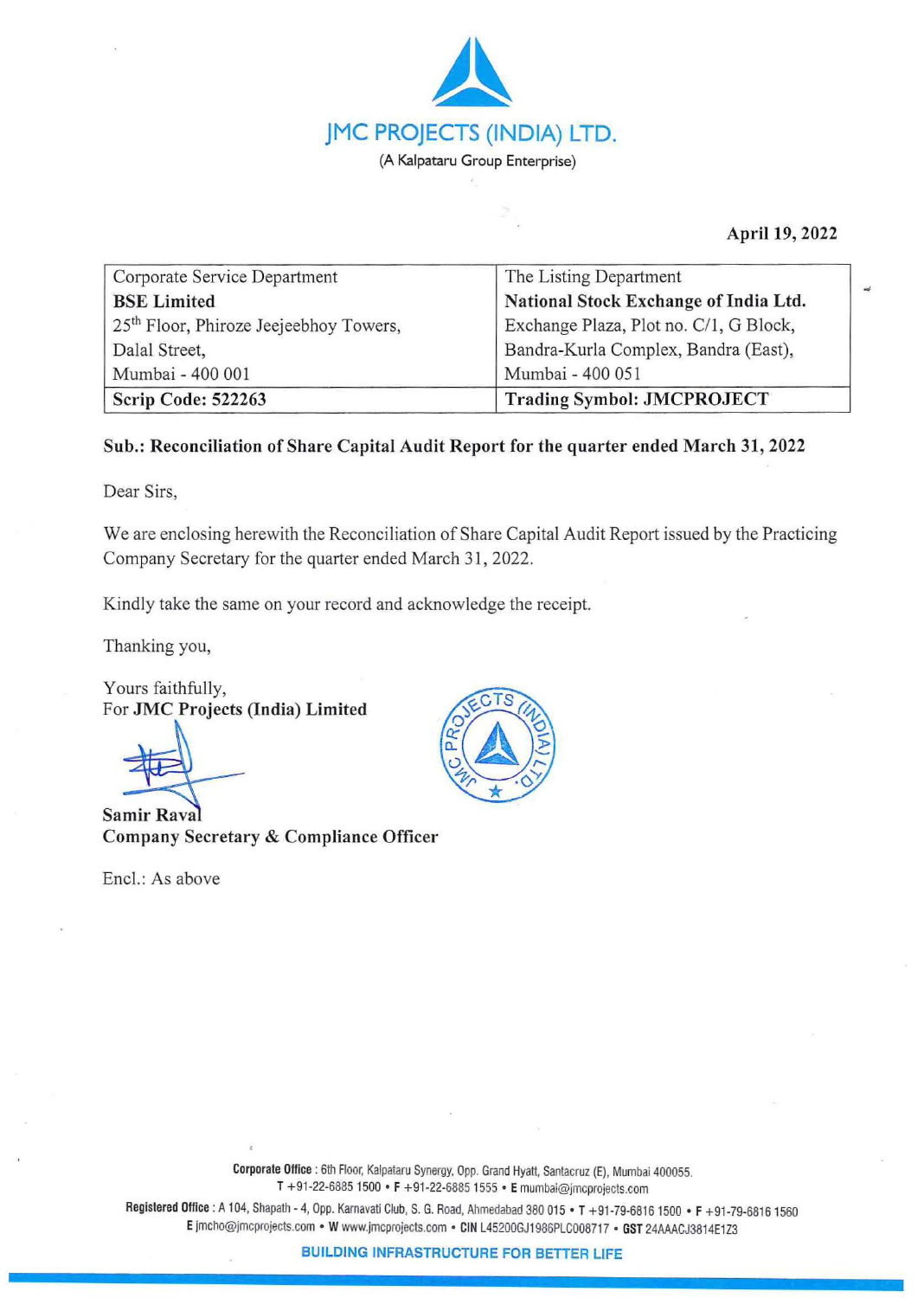

**April 19, 2022** 

**-4** 

| Corporate Service Department                       | The Listing Department                 |
|----------------------------------------------------|----------------------------------------|
| <b>BSE</b> Limited                                 | National Stock Exchange of India Ltd.  |
| 25 <sup>th</sup> Floor, Phiroze Jeejeebhoy Towers, | Exchange Plaza, Plot no. C/1, G Block, |
| Dalal Street,                                      | Bandra-Kurla Complex, Bandra (East),   |
| Mumbai - 400 001                                   | Mumbai - 400 051                       |
| Scrip Code: 522263                                 | <b>Trading Symbol: JMCPROJECT</b>      |

## **Sub.: Reconciliation of Share Capital Audit Report for the quarter ended March 31, 2022**

Dear Sirs,

We are enclosing herewith the Reconciliation of Share Capital Audit Report issued by the Practicing Company Secretary for the quarter ended March 31, 2022.

Kindly take the same on your record and acknowledge the receipt.

Thanking you,

Yours faithfully, For **JMC Projects (India) Limited** 

**Samir Raval Company Secretary** & **Compliance Officer** 

Encl.: As above



**Corporate Office** : 6th Floor, Kalpataru Synergy, Opp. Grand Hyatt, Santacruz (E), Mumbai 400055. T +91-22-68851500 • F +91-22-6885 1555 • **E** mumbai@jmcprojects.com

Registered Office : A 104, Shapath- 4, Opp. Karnavati Club, S. G. Road, Ahmedabad 380 015 • T +91-79-6816 1500 • F +91-79-68161560 **E** jmcho@jmcprojects.com • **W** www.jmcprojects.com • CIN L45200GJ1986PLC00871 7 • GST 24AAACJ3814E1Z3

**BUILDING INFRASTRUCTURE FOR BETTER** LIFE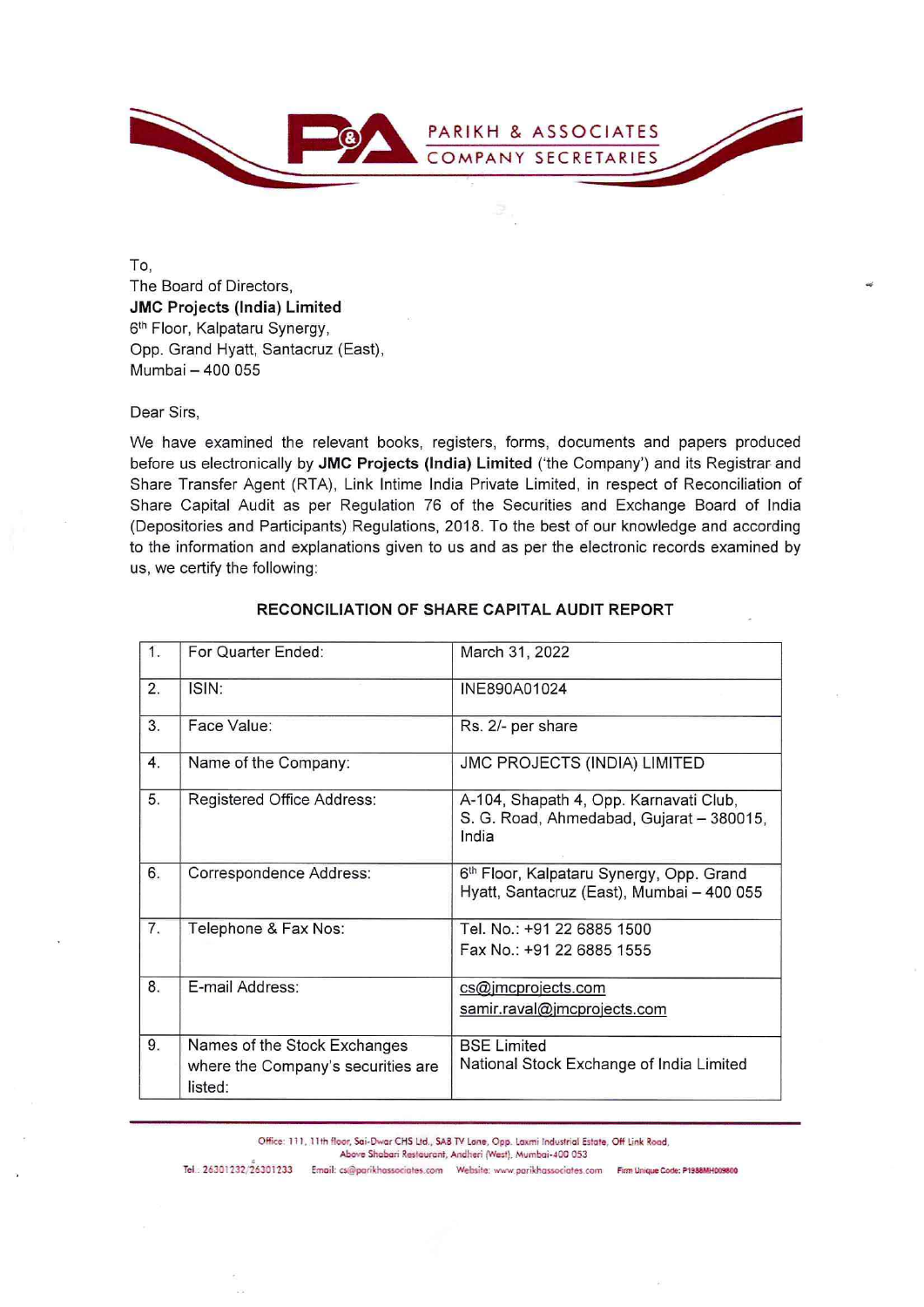

To, The Board of Directors, **JMC Projects (India) Limited**  6th Floor, Kalpataru Synergy, Opp. Grand Hyatt, Santacruz (East), Mumbai - 400 055

## Dear Sirs,

We have examined the relevant books, registers, forms, documents and papers produced before us electronically by **JMC Projects (India) Limited** ('the Company') and its Registrar and Share Transfer Agent (RTA), Link lntime India Private Limited, in respect of Reconciliation of Share Capital Audit as per Regulation 76 of the Securities and Exchange Board of India (Depositories and Participants) Regulations, 2018. To the best of our knowledge and according to the information and explanations given to us and as per the electronic records examined by us, we certify the following:

| 1. | For Quarter Ended:                                                            | March 31, 2022                                                                              |
|----|-------------------------------------------------------------------------------|---------------------------------------------------------------------------------------------|
| 2. | ISIN:                                                                         | INE890A01024                                                                                |
| 3. | Face Value:                                                                   | Rs. 2/- per share                                                                           |
| 4. | Name of the Company:                                                          | JMC PROJECTS (INDIA) LIMITED                                                                |
| 5. | Registered Office Address:                                                    | A-104, Shapath 4, Opp. Karnavati Club,<br>S. G. Road, Ahmedabad, Gujarat - 380015,<br>India |
| 6. | Correspondence Address:                                                       | 6th Floor, Kalpataru Synergy, Opp. Grand<br>Hyatt, Santacruz (East), Mumbai - 400 055       |
| 7. | Telephone & Fax Nos:                                                          | Tel. No.: +91 22 6885 1500<br>Fax No.: +91 22 6885 1555                                     |
| 8. | E-mail Address:                                                               | cs@jmcprojects.com<br>samir.raval@jmcprojects.com                                           |
| 9. | Names of the Stock Exchanges<br>where the Company's securities are<br>listed: | <b>BSE Limited</b><br>National Stock Exchange of India Limited                              |

## **RECONCILIATION OF SHARE CAPITAL AUDIT REPORT**

Office: 111, 11th floor, Sai-Dwar CHS Ltd., SAB TV Lone, Opp. Laxmi Industrial Estate, Off Link Road,<br>Above Shabari Restaurant, Andheri (West), Mumbai-400 053<br>2x301233 **.** Empil: collegerithescopistes.com . Website: useus

Tel .: 26301232/26301233 Email: cs@parikhassociates.com Website: www.parikhassociates.com Firm Unique Code: P198MH009800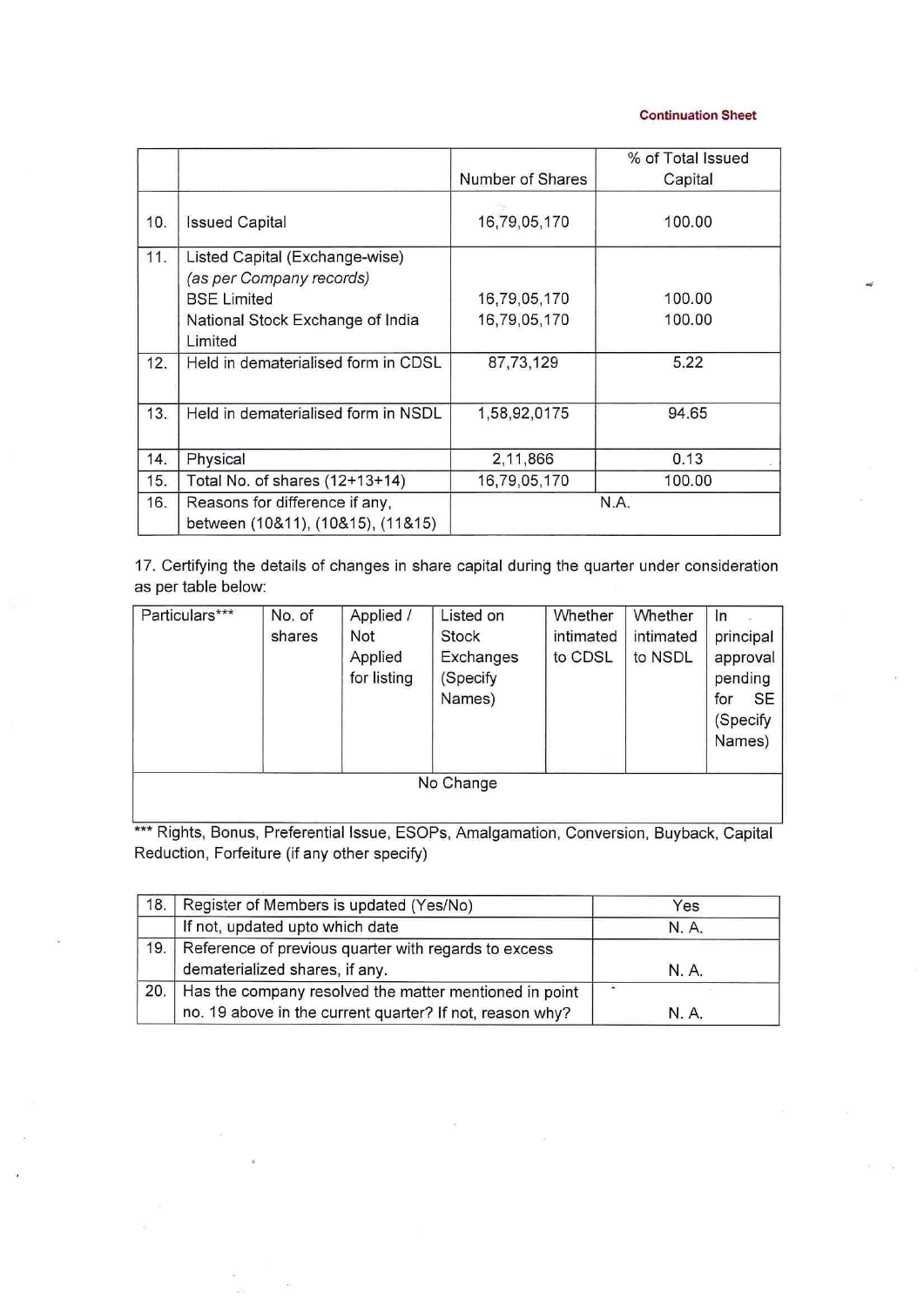**Continuation Sheet** 

|     |                                     |                  | % of Total Issued |
|-----|-------------------------------------|------------------|-------------------|
|     |                                     | Number of Shares | Capital           |
| 10. | <b>Issued Capital</b>               | 16,79,05,170     | 100.00            |
| 11. | Listed Capital (Exchange-wise)      |                  |                   |
|     | (as per Company records)            |                  |                   |
|     | <b>BSE Limited</b>                  | 16,79,05,170     | 100.00            |
|     | National Stock Exchange of India    | 16,79,05,170     | 100.00            |
|     | Limited                             |                  |                   |
| 12. | Held in dematerialised form in CDSL | 87,73,129        | 5.22              |
|     |                                     |                  |                   |
| 13. | Held in dematerialised form in NSDL | 1,58,92,0175     | 94.65             |
|     |                                     |                  |                   |
| 14. | Physical                            | 2,11,866         | 0.13              |
| 15. | Total No. of shares (12+13+14)      | 16,79,05,170     | 100.00            |
| 16. | Reasons for difference if any,      | N.A.             |                   |
|     | between (10&11), (10&15), (11&15)   |                  |                   |

17. Certifying the details of changes in share capital during the quarter under consideration as per table below:

| Particulars*** | No. of<br>shares | Applied /<br>Not<br>Applied<br>for listing | Listed on<br>Stock<br>Exchanges<br>(Specify<br>Names) | Whether<br>intimated<br>to CDSL | Whether<br>intimated<br>to NSDL | In<br>principal<br>approval<br>pending<br><b>SE</b><br>for<br>(Specify<br>Names) |
|----------------|------------------|--------------------------------------------|-------------------------------------------------------|---------------------------------|---------------------------------|----------------------------------------------------------------------------------|
| No Change      |                  |                                            |                                                       |                                 |                                 |                                                                                  |

\*\*\* Rights, Bonus, Preferential Issue, ESOPs, Amalgamation, Conversion, Buyback, Capital Reduction, Forfeiture (if any other specify)

| 18. | Register of Members is updated (Yes/No)                                                                            | Yes   |
|-----|--------------------------------------------------------------------------------------------------------------------|-------|
|     | If not, updated upto which date                                                                                    | N. A. |
| 19. | Reference of previous quarter with regards to excess<br>dematerialized shares, if any.                             | N. A. |
| 20. | Has the company resolved the matter mentioned in point<br>no. 19 above in the current quarter? If not, reason why? | N. A. |

 $\hat{\mathbf{z}}$